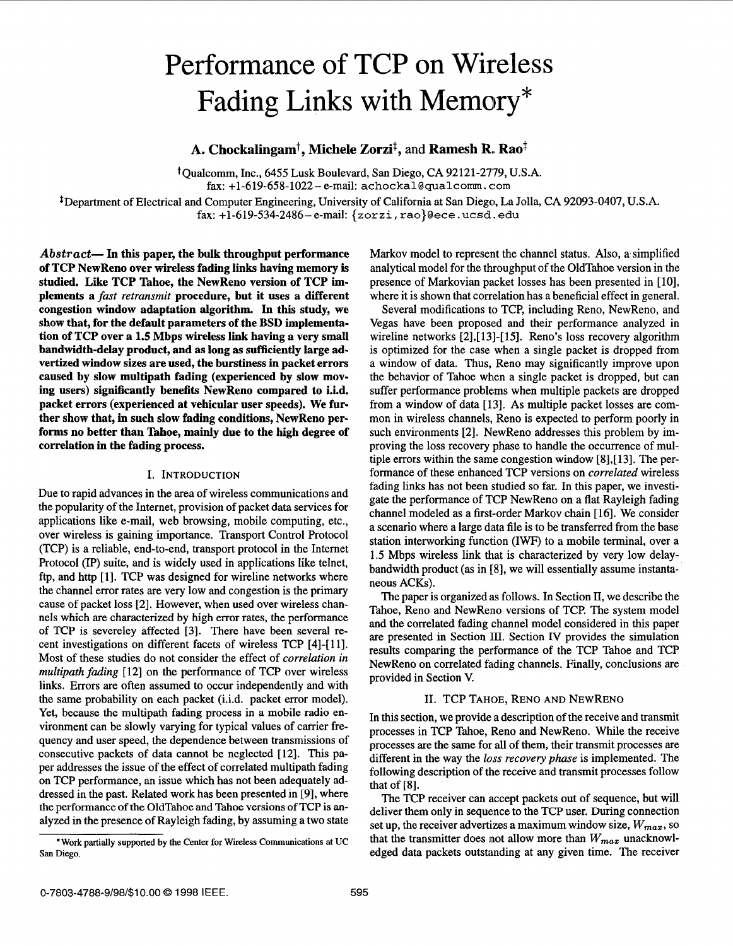# Performance of TCP on Wireless Fading Links with Memory\*

A. Chockalingam<sup>†</sup>, Michele Zorzi<sup>‡</sup>, and Ramesh R. Rao<sup>‡</sup>

tQualcomm, Inc., 6455 Lusk Boulevard, San Diego, CA 92121-2779, U.S.A.

fax: + 1-6 19-658- 1022 - e-mail: **achoc kal @qual c om. com** 

\$Department of Electrical and Computer Engineering, University of California at San Diego, La Jolla, CA 92093-0407, U.S.A. fax: +1-619-534-2486- e-mail: { **zorzi** , **rao}@ece** . **ucsd. edu** 

*Abstmct-* **In this paper, the bulk throughput performance of TCP NewReno over wireless fading links having memory is studied. Like TCP Tahoe, the NewReno version of TCP implements a** *fast retransmit* **procedure, but it uses a different congestion window adaptation algorithm. In this study, we show that, for the default parameters of the BSD implementation of TCP over a 1.5 Mbps wireless link having a very small bandwidth-delay product, and as long as sufficiently large ad**vertized window sizes are used, the burstiness in packet errors **caused by slow multipath fading (experienced by slow moving users) significantly benefits NewReno compared to i.i.d. packet errors (experienced at vehicular user speeds). We further show that, in such slow fading conditions, NewReno performs no better than Tahoe, mainly due to the high degree of correlation in the fadmg process.** 

## I. INTRODUCTION

Due to rapid advances in the area of wireless communications and the popularity of the Internet, provision of packet data services for applications like e-mail, web browsing, mobile computing, etc., over wireless is gaining importance. Transport Control Protocol (TCP) is a reliable, end-to-end, transport protocol in the Internet Protocol (IP) suite, and is widely used in applications like telnet, ftp, and http [l]. TCP was designed for wireline networks where the channel error rates are very low and congestion is the primary cause of packet loss [2]. However, when used over wireless channels which are characterized by high error rates, the performance of TCP is severeley affected [3]. There have been several recent investigations on different facets of wireless TCP [4]-[11]. Most of these studies do not consider the effect of *correlation in multipath fading* [ 121 on the performance of TCP over wireless links. Errors are often assumed to occur independently and with the same probability on each packet (i.i.d. packet error model). Yet, because the multipath fading process in a mobile radio environment can be slowly varying for typical values of carrier frequency and user speed, the dependence between transmissions of consecutive packets of data cannot be neglected [12]. This paper addresses the issue of the effect of correlated multipath fading on TCP performance, an issue which has not been adequately addressed in the past. Related work has been presented in [9], where **the** performance of **the** OldTahoe and Tahoe versions of TCP **is** analyzed in the presence of Rayleigh fading, by assuming a two state Markov model to represent the channel status. Also, a simplified analytical model for the throughput of the OldTahoe version in the presence of Markovian packet losses has been presented in [10], where it **is** shown that correlation has a beneficial effect in general.

Several modifications to TCP, including Reno, NewReno, and Vegas have been proposed and their performance analyzed in wireline networks [2],[13]-[15]. Reno's loss recovery algorithm is optimized for the case when a single packet is dropped from a window of data. Thus, Reno may significantly improve upon the behavior of Tahoe when a single packet is dropped, but can suffer performance problems when multiple packets are dropped from a window of data [13]. As multiple packet losses are common in wireless channels, Reno is expected to perform poorly in such environments **[2].** NewReno addresses this problem by improving the loss recovery phase to handle the occurrence of multiple errors within the same congestion window [8],[13]. The performance of these enhanced TCP versions on *correlated* wireless fading links has not been studied so far. In this paper, we investigate the performance of TCP NewReno on a flat Rayleigh fading channel modeled as a first-order Markov chain [16]. We consider a scenario where a large data file is to be transferred from the base station interworking function (IWF) to a mobile terminal, over a 1.5 Mbps wireless link that is characterized by very low delaybandwidth product (as in 181, we will essentially assume instantaneous ACKs).

The paper is organized **as** follows. In Section 11, we describe the Tahoe, Reno and NewReno versions of TCP. The system model and the correlated fading channel model considered in this paper are presented in Section III. Section IV provides the simulation results comparing the performance of the TCP Tahoe and TCP NewReno on correlated fading channels. Finally, conclusions are provided in Section V.

# 11. TCP TAHOE, RENO AND NEWRENO

In this section, we provide a description of the receive and transmit processes in TCP Tahoe, Reno and NewReno. While the receive processes are the same for all of them, their transmit processes are different in the way the *lass recovery phase* is implemented. The following description of the receive and transmit processes follow that of [8].

The TCP receiver can accept packets out of sequence, but will deliver them only in sequence to the TCP user. During connection set up, the receiver advertizes a maximum window size,  $W_{max}$ , so that the transmitter does not allow more than  $W_{max}$  unacknowledged data packets outstanding at any given time. The receiver

<sup>\*</sup>Work partially supported by the Center for Wireless Communications *at* UC **San** Diego.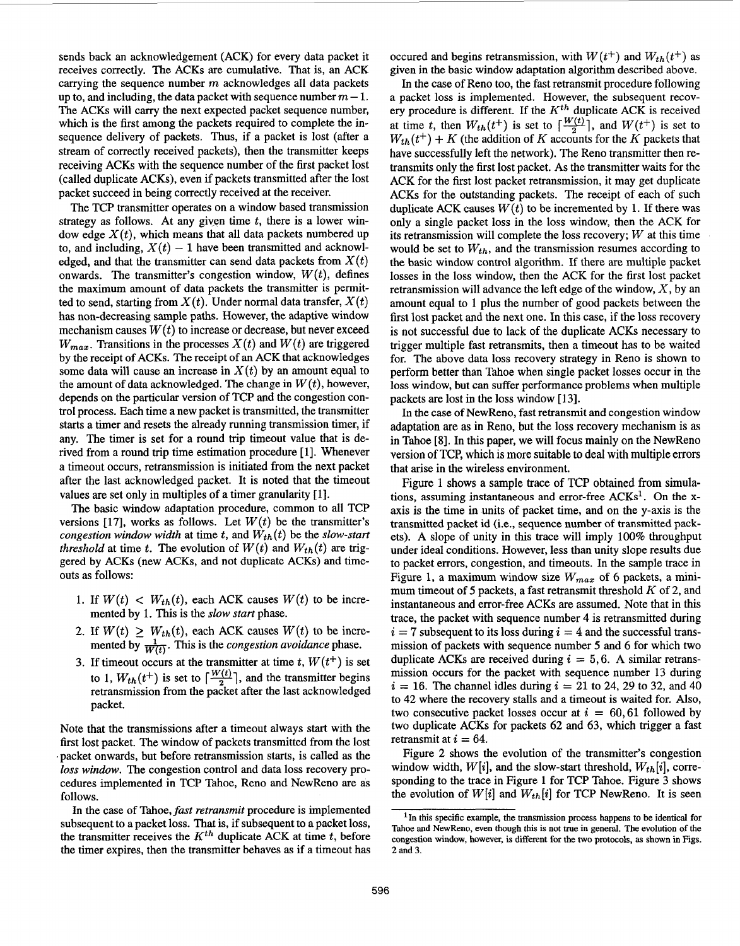sends back an acknowledgement (ACK) for every data packet it receives correctly. The ACKs are cumulative. That is, an ACK carrying the sequence number  $m$  acknowledges all data packets up to, and including, the data packet with sequence number  $m-1$ . The ACKs will carry the next expected packet sequence number, which is the first among the packets required to complete the insequence delivery of packets. Thus, if a packet is lost (after a stream of correctly received packets), then the transmitter keeps receiving ACKs with the sequence number of the first packet lost (called duplicate ACKs), even if packets transmitted after the lost packet succeed in being correctly received at the receiver.

The TCP transmitter operates on a window based transmission strategy as follows. At any given time  $t$ , there is a lower window edge  $X(t)$ , which means that all data packets numbered up to, and including,  $X(t) - 1$  have been transmitted and acknowledged, and that the transmitter can send data packets from  $X(t)$ onwards. The transmitter's congestion window, *W(t),* defines the maximum amount of data packets the transmitter is permitted to send, starting from  $X(t)$ . Under normal data transfer,  $X(t)$ has non-decreasing sample paths. However, the adaptive window mechanism causes  $W(t)$  to increase or decrease, but never exceed  $W_{max}$ . Transitions in the processes  $X(t)$  and  $W(t)$  are triggered by the receipt of ACKs. The receipt of an ACK that acknowledges some data will cause an increase in  $X(t)$  by an amount equal to the amount of data acknowledged. The change in  $W(t)$ , however, depends on the particular version of TCP and the congestion control process. Each time a new packet is transmitted, the transmitter starts a timer and resets the already running transmission timer, if any. The timer is set for a round trip timeout value that is derived from a round trip time estimation procedure [ l]. Whenever a timeout occurs, retransmission is initiated from the next packet after the last acknowledged packet. It is noted that the timeout values are set only in multiples of a timer granularity [ **11.** 

The basic window adaptation procedure, common to all TCP versions [17], works as follows. Let  $W(t)$  be the transmitter's *congestion window width* at time t, and  $W_{th}(t)$  be the *slow-start threshold* at time t. The evolution of  $W(t)$  and  $W_{th}(t)$  are triggered by ACKs (new ACKs, and not duplicate ACKs) and timeouts as follows:

- 1. If  $W(t) < W_{th}(t)$ , each ACK causes  $W(t)$  to be incremented by 1. This is the *slow start* phase.
- 2. If  $W(t) \geq W_{th}(t)$ , each ACK causes  $W(t)$  to be incremented by  $\frac{1}{W(t)}$ . This is the *congestion avoidance* phase.
- 3. If timeout occurs at the transmitter at time t,  $W(t^+)$  is set to 1,  $W_{th}(t^+)$  is set to  $\left[\frac{W(t)}{2}\right]$ , and the transmitter begins retransmission from the packet after the last acknowledged packet.

Note that the transmissions after a timeout always start with the first lost packet. The window of packets transmitted from the lost *<sup>I</sup>*packet onwards, but before retransmission starts, is called **as** the *loss window.* The congestion control and data loss recovery procedures implemented in TCP Tahoe, Reno and NewReno are as follows.

In the case of Tahoe, *fast retransmit* procedure is implemented subsequent to a packet loss. That is, if subsequent to a packet loss, the transmitter receives the  $K^{th}$  duplicate ACK at time t, before the timer expires, then the transmitter behaves **as** if a timeout has occured and begins retransmission, with  $W(t^+)$  and  $W_{th}(t^+)$  as given in the basic window adaptation algorithm described above.

In the case of Reno too, the fast retransmit procedure following a packet loss is implemented. However, the subsequent recovery procedure is different. If the  $K^{th}$  duplicate ACK is received at time t, then  $W_{th}(t^+)$  is set to  $\lceil \frac{W(t)}{2} \rceil$ , and  $W(t^+)$  is set to  $W_{th}(t^+) + K$  (the addition of K accounts for the *K* packets that have successfully left the network). The Reno transmitter then retransmits only the first lost packet. As the transmitter waits for the ACK for the first lost packet retransmission, it may get duplicate ACKs for the outstanding packets. The receipt of each of such duplicate ACK causes  $W(t)$  to be incremented by 1. If there was only a single packet loss in the loss window, then the ACK for its retransmission will complete the loss recovery; *W* at this time would be set to  $W_{th}$ , and the transmission resumes according to the basic window control algorithm. If there are multiple packet losses in the loss window, then the ACK for the first lost packet retransmission will advance the left edge of the window,  $X$ , by an amount equal to 1 plus the number of good packets between the first lost packet and the next one. In this case, if the loss recovery is not successful due to lack of the duplicate ACKs necessary to trigger multiple fast retransmits, then a timeout has to be waited for. The above data loss recovery strategy in Reno is shown to perform better than Tahoe when single packet losses occur in the loss window, but can suffer performance problems when multiple packets are lost in the loss window **[13].** 

In the case of NewReno, fast retransmit and congestion window adaptation are as in Reno, but the loss recovery mechanism is as in Tahoe [ **81.** In this paper, we will focus mainly on the NewReno version of TCP, which is more suitable to deal with multiple errors that arise in the wireless environment.

[Figure 1](#page-2-0) shows a sample trace of TCP obtained from simulations, assuming instantaneous and error-free  $ACKs<sup>1</sup>$ . On the xaxis is the time in units of packet time, and on the y-axis is the transmitted packet id (i.e., sequence number of transmitted packets). A slope of unity in this trace will imply 100% throughput under ideal conditions. However, less than unity slope results due to packet errors, congestion, and timeouts. In the sample trace in Figure 1, a maximum window size  $W_{max}$  of 6 packets, a minimum timeout of *5* packets, a fast retransmit threshold K of **2,** and instantaneous and error-free ACKs are assumed. Note that in this trace, the packet with sequence number **4** is retransmitted during  $i = 7$  subsequent to its loss during  $i = 4$  and the successful transmission of packets with sequence number *5* and 6 for which two duplicate ACKs are received during  $i = 5, 6$ . A similar retransmission occurs for the packet with sequence number **13** during  $i = 16$ . The channel idles during  $i = 21$  to 24, 29 to 32, and 40 to **42** where the recovery stalls and a timeout is waited for. Also, two consecutive packet losses occur at  $i = 60, 61$  followed by two duplicate ACKs for packets 62 and 63, which trigger a fast retransmit at  $i = 64$ .

Figure 2 shows the evolution of the transmitter's congestion window width,  $W[i]$ , and the slow-start threshold,  $W_{th}[i]$ , corresponding to the trace in [Figure](#page-2-0) **1** for TCP Tahoe. Figure 3 shows the evolution of  $W[i]$  and  $W_{th}[i]$  for TCP NewReno. It is seen

**<sup>&#</sup>x27;In this specific example, the transmission process happens to be identical for Tahoe and NewReno, even though this is not true in general, The evolution of the congestion window, however, is different for the two protocols, as shown in Figs. 2 and 3.**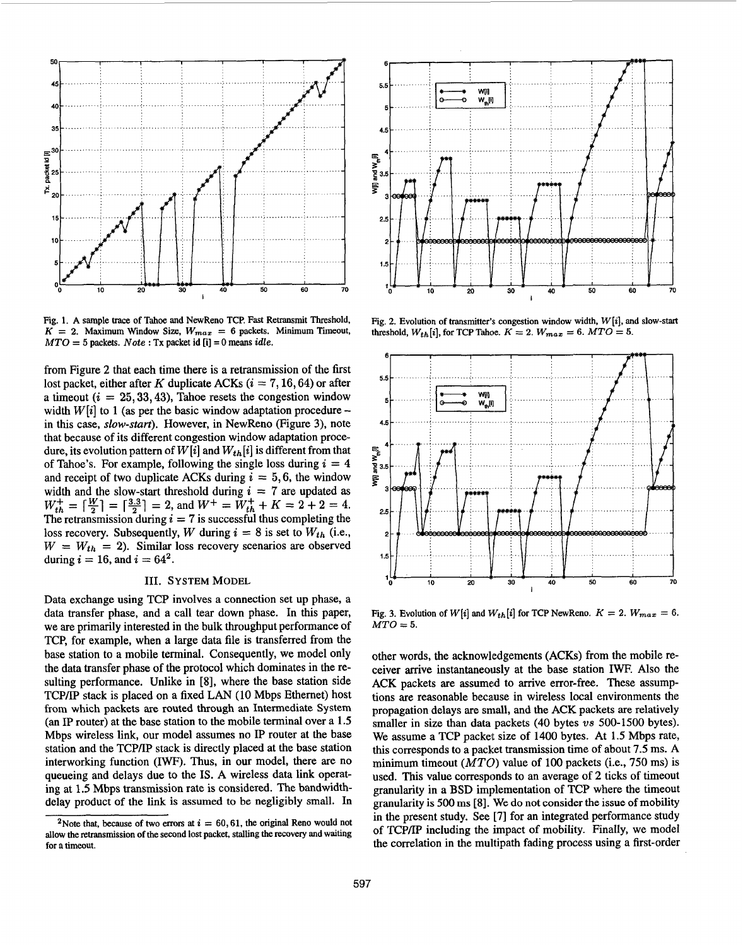<span id="page-2-0"></span>

**Fig. 1. A sample trace of Tahoe and NewReno TCP. Fast Retransmit Threshold,**   $K = 2$ . Maximum Window Size,  $W_{max} = 6$  packets. Minimum Timeout, *MTO* = **5 packets.** *Note* : **Tx packet id [i]** = **0 means** *idle.* 

from Figure **2** that each time there is a retransmission of the first lost packet, either after K duplicate ACKs  $(i = 7, 16, 64)$  or after a timeout  $(i = 25, 33, 43)$ , Tahoe resets the congestion window width  $W[i]$  to 1 (as per the basic window adaptation procedure  $$ in this case, slow-start). However, in NewReno (Figure 3), note that because of its different congestion window adaptation procedure, its evolution pattern of  $W[i]$  and  $W_{th}[i]$  is different from that of Tahoe's. For example, following the single loss during  $i = 4$ and receipt of two duplicate ACKs during  $i = 5, 6$ , the window width and the slow-start threshold during  $i = 7$  are updated as  $W_{th}^{+} = \left\lceil \frac{W}{2} \right\rceil = \left\lceil \frac{3.3}{2} \right\rceil = 2$ , and  $W^{+} = W_{th}^{+} + K = 2 + 2 = 4$ . The retransmission during  $i = 7$  is successful thus completing the loss recovery. Subsequently, *W* during  $i = 8$  is set to  $W_{th}$  (i.e.,  $W = W_{th} = 2$ . Similar loss recovery scenarios are observed during  $i = 16$ , and  $i = 64^2$ .

#### 111. **SYSTEM** MODEL

Data exchange using TCP involves a connection set up phase, a data transfer phase, and a call tear down phase. In this paper, we are primarily interested in the bulk throughput performance of TCP, for example, when a large data file is transferred from the base station to a mobile terminal. Consequently, we model only the data transfer phase of the protocol which dominates in the resulting performance. Unlike in **[8],** where the base station side TCPAP stack is placed on a fixed LAN (10 Mbps Ethernet) host from which packets are routed through an Intermediate System (an IP router) at the base station to the mobile terminal over a 1.5 Mbps wireless link, our model assumes no IP router at the base station and the TCPAP stack is directly placed at the base station interworking function (IWF). Thus, in our model, there are no queueing and delays due to the IS. A wireless data link operating at 1.5 Mbps transmission rate is considered. The bandwidthdelay product of the link is assumed to be negligibly small. In



~ ~~



Fig. 2. Evolution of transmitter's congestion window width,  $W[i]$ , and slow-start **threshold,**  $W_{th}[i]$ , for TCP Tahoe.  $K = 2$ .  $W_{max} = 6$ .  $MTO = 5$ .



Fig. 3. Evolution of  $W[i]$  and  $W_{th}[i]$  for TCP NewReno.  $K = 2$ .  $W_{max} = 6$ .  $MTO = 5.$ 

other words, the acknowledgements (ACKs) from the mobile receiver arrive instantaneously at the base station IWF. Also the ACK packets are assumed to arrive error-free. These assumptions are reasonable because in wireless local environments the propagation delays are small, and the ACK packets *are* relatively smaller in size than data packets (40 bytes *vs* 500-1500 bytes). We assume a TCP packet size of 1400 bytes. At 1.5 Mbps rate, **this** corresponds to a packet transmission time of about 7.5 ms. A minimum timeout  $(MTO)$  value of 100 packets (i.e., 750 ms) is used. This value corresponds to an average of 2 ticks of timeout granularity in a BSD implementation of TCP where the timeout granularity is 500 ms *[8].* We do not consider the issue of mobility in the present study. See [7] for an integrated performance study of TCP/IP including the impact of mobility. Finally, we model the correlation in the multipath fading process using a first-order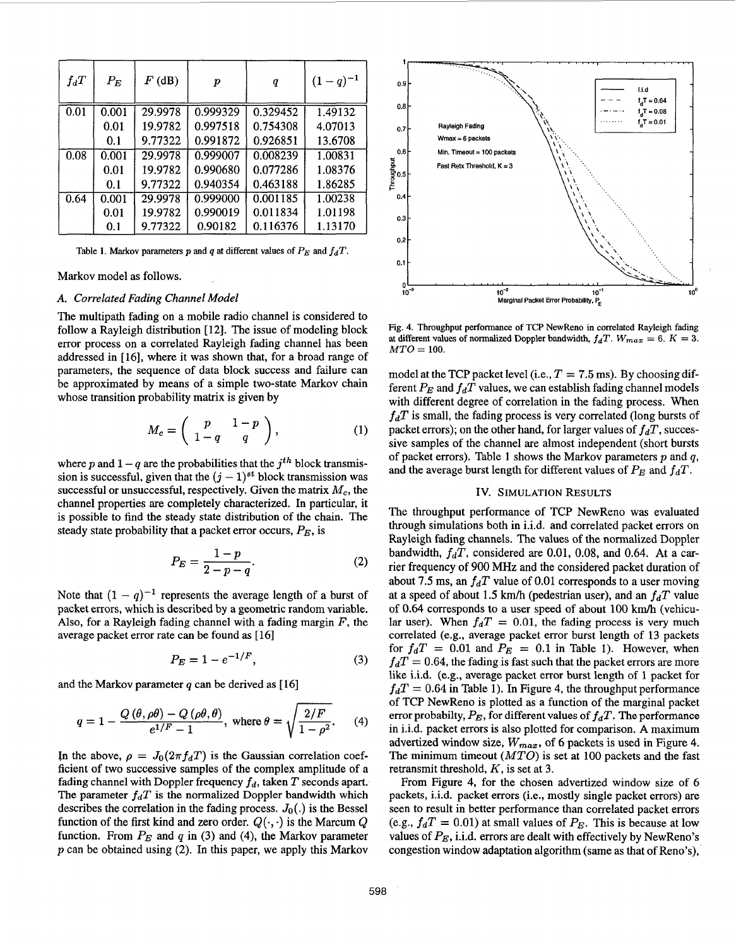| $f_dT$ | $P_E\,$ | $F$ (dB) | р        | $\boldsymbol{q}$ | $(1-q)^{-1}$ |
|--------|---------|----------|----------|------------------|--------------|
| 0.01   | 0.001   | 29.9978  | 0.999329 | 0.329452         | 1.49132      |
|        | 0.01    | 19.9782  | 0.997518 | 0.754308         | 4.07013      |
|        | 0.1     | 9.77322  | 0.991872 | 0.926851         | 13.6708      |
| 0.08   | 0.001   | 29.9978  | 0.999007 | 0.008239         | 1.00831      |
|        | 0.01    | 19.9782  | 0.990680 | 0.077286         | 1.08376      |
|        | 0.1     | 9.77322  | 0.940354 | 0.463188         | 1.86285      |
| 0.64   | 0.001   | 29.9978  | 0.999000 | 0.001185         | 1.00238      |
|        | 0.01    | 19.9782  | 0.990019 | 0.011834         | 1.01198      |
|        | 0.1     | 9.77322  | 0.90182  | 0.116376         | 1.13170      |

Table 1. Markov parameters  $p$  and  $q$  at different values of  $P_E$  and  $f_dT$ .

Markov model as follows.

# A. *Correlated Fading Channel Model*

The multipath fading on a mobile radio channel is considered to follow a Rayleigh distribution [12]. The issue of modeling block error process on a correlated Rayleigh fading channel has been addressed in [ 161, where it was shown that, for a broad range of parameters, the sequence of data block success and failure can be approximated by means of a simple two-state Markov chain whose transition probability matrix is given by

$$
M_c = \left(\begin{array}{cc} p & 1-p \\ 1-q & q \end{array}\right),\tag{1}
$$

where p and  $1 - q$  are the probabilities that the  $j<sup>th</sup>$  block transmission is successful, given that the  $(j - 1)^{st}$  block transmission was successful or unsuccessful, respectively. Given the matrix  $M_c$ , the channel properties are completely characterized. In particular, it is possible to find the steady state distribution of the chain. The steady state probability that a packet error occurs,  $P_E$ , is

$$
P_E = \frac{1-p}{2-p-q}.\tag{2}
$$

Note that  $(1 - q)^{-1}$  represents the average length of a burst of packet errors, which is described by a geometric random variable. Also, for a Rayleigh fading channel with a fading margin  $F$ , the average packet error rate can be found as [ 161

$$
P_E = 1 - e^{-1/F},
$$
 (3)

and the Markov parameter  $q$  can be derived as [16]

$$
q = 1 - \frac{Q(\theta, \rho\theta) - Q(\rho\theta, \theta)}{e^{1/F} - 1}, \text{ where } \theta = \sqrt{\frac{2/F}{1 - \rho^2}}.
$$
 (4)

In the above,  $\rho = J_0(2\pi f_dT)$  is the Gaussian correlation coefficient of two successive samples of the complex amplitude of a fading channel with Doppler frequency *fd,* taken *T* seconds apart. The parameter  $f_dT$  is the normalized Doppler bandwidth which describes the correlation in the fading process.  $J_0(.)$  is the Bessel function of the first kind and zero order.  $Q(\cdot, \cdot)$  is the Marcum Q function. From  $P_E$  and  $q$  in (3) and (4), the Markov parameter  $p$  can be obtained using (2). In this paper, we apply this Markov



**Fig. 4. Throughput performance of TCP NewReno in correlated Rayleigh fading**  at different values of normalized Doppler bandwidth,  $f_dT$ .  $W_{max} = 6$ .  $K = 3$ .  $MTO = 100$ .

model at the TCP packet level (i.e.,  $T = 7.5$  ms). By choosing different  $P_E$  and  $f_dT$  values, we can establish fading channel models with different degree of correlation in the fading process. When  $f_dT$  is small, the fading process is very correlated (long bursts of packet errors); on the other hand, for larger values of  $f_dT$ , successive samples of the channel are almost independent (short bursts of packet errors). Table 1 shows the Markov parameters *p* and *q,*  and the average burst length for different values of  $P_E$  and  $f_dT$ .

# IV. **SIMULATION** RESULTS

The throughput performance of TCP NewReno was evaluated through simulations both in i.i.d. and correlated packet errors on Rayleigh fading channels. The values of the normalized Doppler bandwidth,  $f_dT$ , considered are 0.01, 0.08, and 0.64. At a carrier frequency of 900 **MHz** and the considered packet duration of about 7.5 ms, an  $f_dT$  value of 0.01 corresponds to a user moving at a speed of about 1.5 km/h (pedestrian user), and an  $f_dT$  value of 0.64 corresponds to a user speed of about 100 kmh (vehicular user). When  $f_dT = 0.01$ , the fading process is very much correlated (e.g., average packet error burst length of 13 packets for  $f_dT = 0.01$  and  $P_E = 0.1$  in Table 1). However, when  $f_dT = 0.64$ , the fading is fast such that the packet errors are more like i.i.d. (e.g., average packet error burst length of 1 packet for  $f_dT = 0.64$  in Table 1). In Figure 4, the throughput performance of TCP NewReno is plotted as a function of the marginal packet error probabilty,  $P_E$ , for different values of  $f_dT$ . The performance in i.i.d. packet errors is also plotted for comparison. A maximum advertized window size,  $W_{max}$ , of 6 packets is used in Figure 4. The minimum timeout *(MTO)* is set at 100 packets and the fast retransmit threshold,  $K$ , is set at 3.

From Figure 4, for the chosen advertized window size of 6 packets, i.i.d. packet errors (i.e., mostly single packet errors) are seen to result in better performance than correlated packet errors (e.g.,  $f_dT = 0.01$ ) at small values of  $P_E$ . This is because at low values of  $P_E$ , i.i.d. errors are dealt with effectively by NewReno's congestion window adaptation algorithm (same as that of Reno's),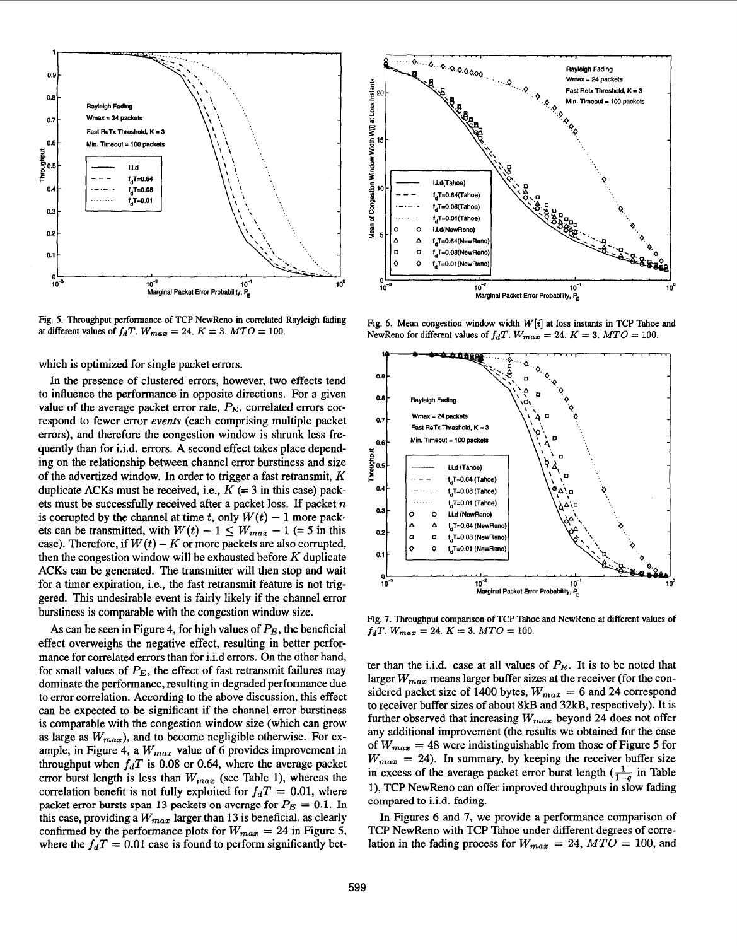

**Fig. 5. Throughput** performance of **TCP NewReno in correlated Rayleigh fading**  at different values of  $f_dT$ .  $W_{max} = 24$ .  $K = 3$ .  $MTO = 100$ .

which is optimized for single packet errors.

In the presence of clustered errors, however, two effects tend to influence the performance in opposite directions. For a given value of the average packet error rate,  $P_E$ , correlated errors correspond to fewer error events (each comprising multiple packet errors), and therefore the congestion window is shrunk less frequently than for i.i.d. errors. **A** second effect takes place depending on the relationship between channel error burstiness and size of the advertized window. In order to trigger a fast retransmit, K duplicate ACKs must be received, i.e.,  $K (= 3$  in this case) packets must be successfully received after a packet loss. If packet  $n$ is corrupted by the channel at time *t*, only  $W(t) - 1$  more packets can be transmitted, with  $W(t) - 1 \leq W_{max} - 1$  (= 5 in this case). Therefore, if  $W(t) - K$  or more packets are also corrupted, then the congestion window will be exhausted before  $K$  duplicate **ACKs** can be generated. The transmitter will then stop and wait for a timer expiration, i.e., the fast retransmit feature is not triggered. This undesirable event is fairly likely if the channel error burstiness is comparable with the congestion window size.

As can be seen in Figure 4, for high values of  $P_E$ , the beneficial effect overweighs the negative effect, resulting in better performance for correlated errors than for i.i.d errors. On the other hand, for small values of  $P_E$ , the effect of fast retransmit failures may dominate the performance, resulting in degraded performance due to error correlation. According to the above discussion, this effect can be expected to be significant if the channel error burstiness is comparable with the congestion window size (which can grow as large as  $W_{max}$ ), and to become negligible otherwise. For example, in Figure 4, a  $W_{max}$  value of 6 provides improvement in throughput when  $f_dT$  is 0.08 or 0.64, where the average packet error burst length is less than  $W_{max}$  (see Table 1), whereas the correlation benefit is not fully exploited for  $f_dT = 0.01$ , where packet error bursts span 13 packets on average for  $P_E = 0.1$ . In this case, providing a  $W_{max}$  larger than 13 is beneficial, as clearly confirmed by the performance plots for  $W_{max} = 24$  in Figure 5, where the  $f_dT = 0.01$  case is found to perform significantly bet-



Fig. 6. Mean congestion window width  $W[i]$  at loss instants in TCP Tahoe and NewReno for different values of  $f_dT$ .  $W_{max} = 24$ .  $K = 3$ .  $MTO = 100$ .



**Fig. 7. Throughput comparison of TCP Tahoe and NewReno at different values** of  $f_dT$ .  $W_{max} = 24$ .  $K = 3$ .  $MTO = 100$ .

ter than the i.i.d. case at all values of  $P_E$ . It is to be noted that larger  $W_{max}$  means larger buffer sizes at the receiver (for the considered packet size of 1400 bytes,  $W_{max} = 6$  and 24 correspond to receiver buffer sizes of about **8kB** and **32kB,** respectively). It is further observed that increasing  $W_{max}$  beyond 24 does not offer any additional improvement (the results we obtained for the case of  $W_{max} = 48$  were indistinguishable from those of Figure 5 for  $W_{max}$  = 24). In summary, by keeping the receiver buffer size in excess of the average packet error burst length  $(\frac{1}{1-a}$  in Table l), **TCP** NewReno can offer improved throughputs in slow fading **compared** to **i.i.d. fading.** 

In Figures 6 and 7, we provide a performance comparison of TCP NewReno with TCP Tahoe under different degrees of correlation in the fading process for  $W_{max} = 24$ ,  $MTO = 100$ , and